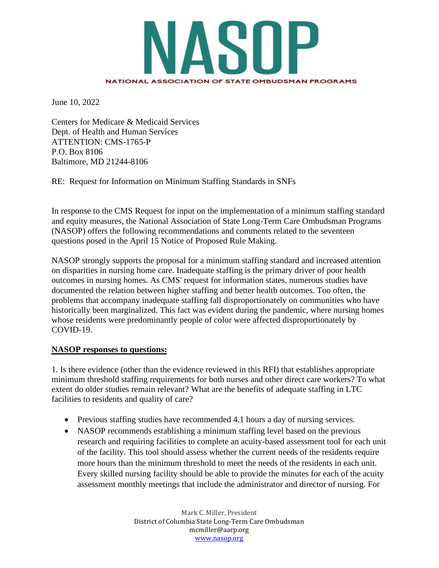

June 10, 2022

Centers for Medicare & Medicaid Services Dept. of Health and Human Services ATTENTION: CMS-1765-P P.O. Box 8106 Baltimore, MD 21244-8106

RE: Request for Information on Minimum Staffing Standards in SNFs

In response to the CMS Request for input on the implementation of a minimum staffing standard and equity measures, the National Association of State Long-Term Care Ombudsman Programs (NASOP) offers the following recommendations and comments related to the seventeen questions posed in the April 15 Notice of Proposed Rule Making.

NASOP strongly supports the proposal for a minimum staffing standard and increased attention on disparities in nursing home care. Inadequate staffing is the primary driver of poor health outcomes in nursing homes. As CMS' request for information states, numerous studies have documented the relation between higher staffing and better health outcomes. Too often, the problems that accompany inadequate staffing fall disproportionately on communities who have historically been marginalized. This fact was evident during the pandemic, where nursing homes whose residents were predominantly people of color were affected disproportionately by COVID-19.

## **NASOP responses to questions:**

1. Is there evidence (other than the evidence reviewed in this RFI) that establishes appropriate minimum threshold staffing requirements for both nurses and other direct care workers? To what extent do older studies remain relevant? What are the benefits of adequate staffing in LTC facilities to residents and quality of care?

- Previous staffing studies have recommended 4.1 hours a day of nursing services.
- NASOP recommends establishing a minimum staffing level based on the previous research and requiring facilities to complete an acuity-based assessment tool for each unit of the facility. This tool should assess whether the current needs of the residents require more hours than the minimum threshold to meet the needs of the residents in each unit. Every skilled nursing facility should be able to provide the minutes for each of the acuity assessment monthly meetings that include the administrator and director of nursing. For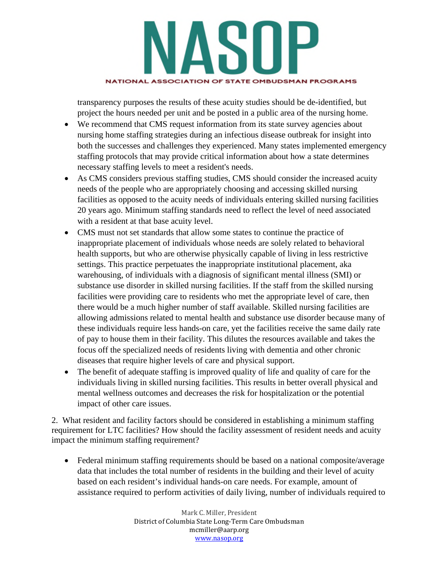

transparency purposes the results of these acuity studies should be de-identified, but project the hours needed per unit and be posted in a public area of the nursing home.

- We recommend that CMS request information from its state survey agencies about nursing home staffing strategies during an infectious disease outbreak for insight into both the successes and challenges they experienced. Many states implemented emergency staffing protocols that may provide critical information about how a state determines necessary staffing levels to meet a resident's needs.
- As CMS considers previous staffing studies, CMS should consider the increased acuity needs of the people who are appropriately choosing and accessing skilled nursing facilities as opposed to the acuity needs of individuals entering skilled nursing facilities 20 years ago. Minimum staffing standards need to reflect the level of need associated with a resident at that base acuity level.
- CMS must not set standards that allow some states to continue the practice of inappropriate placement of individuals whose needs are solely related to behavioral health supports, but who are otherwise physically capable of living in less restrictive settings. This practice perpetuates the inappropriate institutional placement, aka warehousing, of individuals with a diagnosis of significant mental illness (SMI) or substance use disorder in skilled nursing facilities. If the staff from the skilled nursing facilities were providing care to residents who met the appropriate level of care, then there would be a much higher number of staff available. Skilled nursing facilities are allowing admissions related to mental health and substance use disorder because many of these individuals require less hands-on care, yet the facilities receive the same daily rate of pay to house them in their facility. This dilutes the resources available and takes the focus off the specialized needs of residents living with dementia and other chronic diseases that require higher levels of care and physical support.
- The benefit of adequate staffing is improved quality of life and quality of care for the individuals living in skilled nursing facilities. This results in better overall physical and mental wellness outcomes and decreases the risk for hospitalization or the potential impact of other care issues.

2. What resident and facility factors should be considered in establishing a minimum staffing requirement for LTC facilities? How should the facility assessment of resident needs and acuity impact the minimum staffing requirement?

• Federal minimum staffing requirements should be based on a national composite/average data that includes the total number of residents in the building and their level of acuity based on each resident's individual hands-on care needs. For example, amount of assistance required to perform activities of daily living, number of individuals required to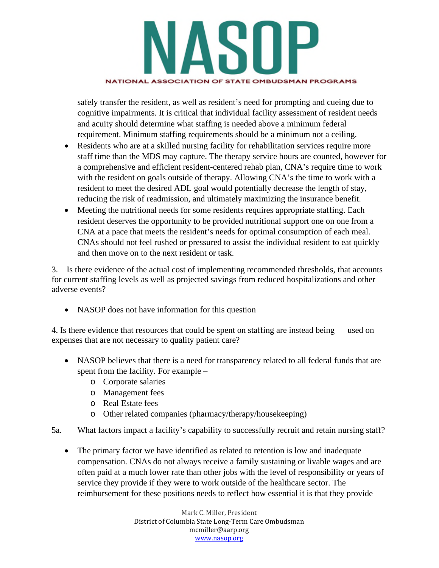

safely transfer the resident, as well as resident's need for prompting and cueing due to cognitive impairments. It is critical that individual facility assessment of resident needs and acuity should determine what staffing is needed above a minimum federal requirement. Minimum staffing requirements should be a minimum not a ceiling.

- Residents who are at a skilled nursing facility for rehabilitation services require more staff time than the MDS may capture. The therapy service hours are counted, however for a comprehensive and efficient resident-centered rehab plan, CNA's require time to work with the resident on goals outside of therapy. Allowing CNA's the time to work with a resident to meet the desired ADL goal would potentially decrease the length of stay, reducing the risk of readmission, and ultimately maximizing the insurance benefit.
- Meeting the nutritional needs for some residents requires appropriate staffing. Each resident deserves the opportunity to be provided nutritional support one on one from a CNA at a pace that meets the resident's needs for optimal consumption of each meal. CNAs should not feel rushed or pressured to assist the individual resident to eat quickly and then move on to the next resident or task.

3. Is there evidence of the actual cost of implementing recommended thresholds, that accounts for current staffing levels as well as projected savings from reduced hospitalizations and other adverse events?

• NASOP does not have information for this question

4. Is there evidence that resources that could be spent on staffing are instead being used on expenses that are not necessary to quality patient care?

- NASOP believes that there is a need for transparency related to all federal funds that are spent from the facility. For example –
	- o Corporate salaries
	- o Management fees
	- o Real Estate fees
	- o Other related companies (pharmacy/therapy/housekeeping)
- 5a. What factors impact a facility's capability to successfully recruit and retain nursing staff?
	- The primary factor we have identified as related to retention is low and inadequate compensation. CNAs do not always receive a family sustaining or livable wages and are often paid at a much lower rate than other jobs with the level of responsibility or years of service they provide if they were to work outside of the healthcare sector. The reimbursement for these positions needs to reflect how essential it is that they provide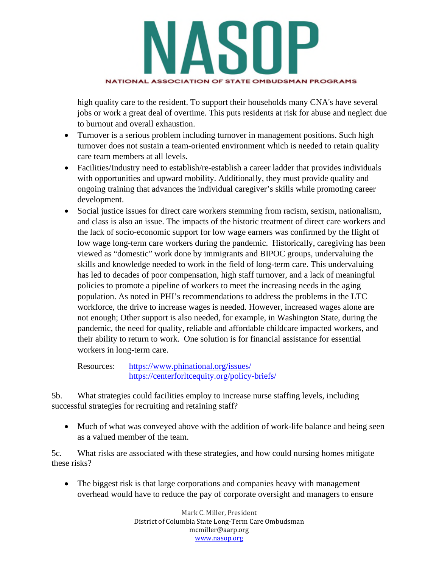

high quality care to the resident. To support their households many CNA's have several jobs or work a great deal of overtime. This puts residents at risk for abuse and neglect due to burnout and overall exhaustion.

- Turnover is a serious problem including turnover in management positions. Such high turnover does not sustain a team-oriented environment which is needed to retain quality care team members at all levels.
- Facilities/Industry need to establish/re-establish a career ladder that provides individuals with opportunities and upward mobility. Additionally, they must provide quality and ongoing training that advances the individual caregiver's skills while promoting career development.
- Social justice issues for direct care workers stemming from racism, sexism, nationalism, and class is also an issue. The impacts of the historic treatment of direct care workers and the lack of socio-economic support for low wage earners was confirmed by the flight of low wage long-term care workers during the pandemic. Historically, caregiving has been viewed as "domestic" work done by immigrants and BIPOC groups, undervaluing the skills and knowledge needed to work in the field of long-term care. This undervaluing has led to decades of poor compensation, high staff turnover, and a lack of meaningful policies to promote a pipeline of workers to meet the increasing needs in the aging population. As noted in PHI's recommendations to address the problems in the LTC workforce, the drive to increase wages is needed. However, increased wages alone are not enough; Other support is also needed, for example, in Washington State, during the pandemic, the need for quality, reliable and affordable childcare impacted workers, and their ability to return to work. One solution is for financial assistance for essential workers in long-term care.

Resources: https://www.phinational.org/issues/ https://centerforltcequity.org/policy-briefs/

5b. What strategies could facilities employ to increase nurse staffing levels, including successful strategies for recruiting and retaining staff?

 Much of what was conveyed above with the addition of work-life balance and being seen as a valued member of the team.

5c. What risks are associated with these strategies, and how could nursing homes mitigate these risks?

• The biggest risk is that large corporations and companies heavy with management overhead would have to reduce the pay of corporate oversight and managers to ensure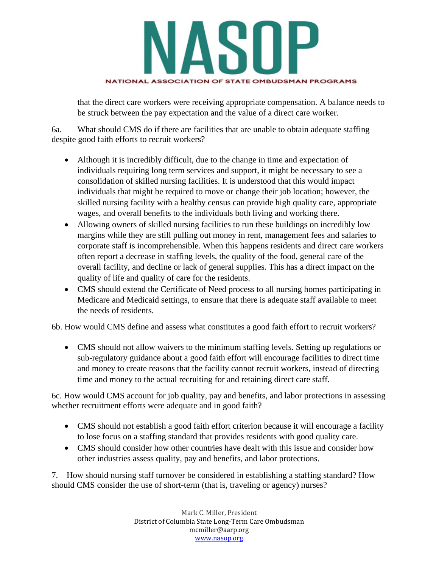

that the direct care workers were receiving appropriate compensation. A balance needs to be struck between the pay expectation and the value of a direct care worker.

6a. What should CMS do if there are facilities that are unable to obtain adequate staffing despite good faith efforts to recruit workers?

- Although it is incredibly difficult, due to the change in time and expectation of individuals requiring long term services and support, it might be necessary to see a consolidation of skilled nursing facilities. It is understood that this would impact individuals that might be required to move or change their job location; however, the skilled nursing facility with a healthy census can provide high quality care, appropriate wages, and overall benefits to the individuals both living and working there.
- Allowing owners of skilled nursing facilities to run these buildings on incredibly low margins while they are still pulling out money in rent, management fees and salaries to corporate staff is incomprehensible. When this happens residents and direct care workers often report a decrease in staffing levels, the quality of the food, general care of the overall facility, and decline or lack of general supplies. This has a direct impact on the quality of life and quality of care for the residents.
- CMS should extend the Certificate of Need process to all nursing homes participating in Medicare and Medicaid settings, to ensure that there is adequate staff available to meet the needs of residents.

6b. How would CMS define and assess what constitutes a good faith effort to recruit workers?

 CMS should not allow waivers to the minimum staffing levels. Setting up regulations or sub-regulatory guidance about a good faith effort will encourage facilities to direct time and money to create reasons that the facility cannot recruit workers, instead of directing time and money to the actual recruiting for and retaining direct care staff.

6c. How would CMS account for job quality, pay and benefits, and labor protections in assessing whether recruitment efforts were adequate and in good faith?

- CMS should not establish a good faith effort criterion because it will encourage a facility to lose focus on a staffing standard that provides residents with good quality care.
- CMS should consider how other countries have dealt with this issue and consider how other industries assess quality, pay and benefits, and labor protections.

7. How should nursing staff turnover be considered in establishing a staffing standard? How should CMS consider the use of short-term (that is, traveling or agency) nurses?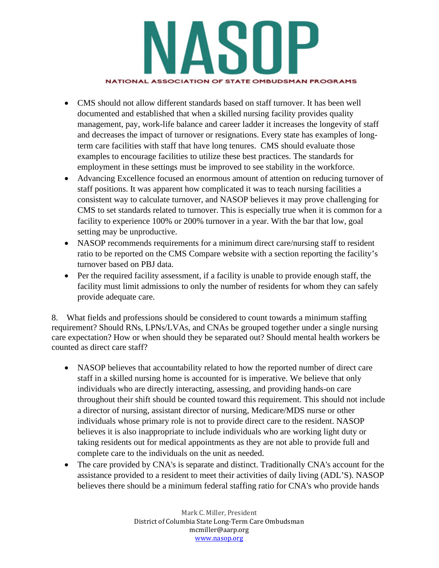

- CMS should not allow different standards based on staff turnover. It has been well documented and established that when a skilled nursing facility provides quality management, pay, work-life balance and career ladder it increases the longevity of staff and decreases the impact of turnover or resignations. Every state has examples of longterm care facilities with staff that have long tenures. CMS should evaluate those examples to encourage facilities to utilize these best practices. The standards for employment in these settings must be improved to see stability in the workforce.
- Advancing Excellence focused an enormous amount of attention on reducing turnover of staff positions. It was apparent how complicated it was to teach nursing facilities a consistent way to calculate turnover, and NASOP believes it may prove challenging for CMS to set standards related to turnover. This is especially true when it is common for a facility to experience 100% or 200% turnover in a year. With the bar that low, goal setting may be unproductive.
- NASOP recommends requirements for a minimum direct care/nursing staff to resident ratio to be reported on the CMS Compare website with a section reporting the facility's turnover based on PBJ data.
- Per the required facility assessment, if a facility is unable to provide enough staff, the facility must limit admissions to only the number of residents for whom they can safely provide adequate care.

8. What fields and professions should be considered to count towards a minimum staffing requirement? Should RNs, LPNs/LVAs, and CNAs be grouped together under a single nursing care expectation? How or when should they be separated out? Should mental health workers be counted as direct care staff?

- NASOP believes that accountability related to how the reported number of direct care staff in a skilled nursing home is accounted for is imperative. We believe that only individuals who are directly interacting, assessing, and providing hands-on care throughout their shift should be counted toward this requirement. This should not include a director of nursing, assistant director of nursing, Medicare/MDS nurse or other individuals whose primary role is not to provide direct care to the resident. NASOP believes it is also inappropriate to include individuals who are working light duty or taking residents out for medical appointments as they are not able to provide full and complete care to the individuals on the unit as needed.
- The care provided by CNA's is separate and distinct. Traditionally CNA's account for the assistance provided to a resident to meet their activities of daily living (ADL'S). NASOP believes there should be a minimum federal staffing ratio for CNA's who provide hands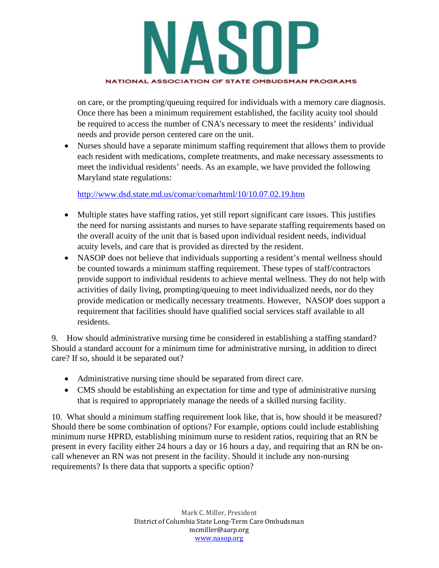

on care, or the prompting/queuing required for individuals with a memory care diagnosis. Once there has been a minimum requirement established, the facility acuity tool should be required to access the number of CNA's necessary to meet the residents' individual needs and provide person centered care on the unit.

 Nurses should have a separate minimum staffing requirement that allows them to provide each resident with medications, complete treatments, and make necessary assessments to meet the individual residents' needs. As an example, we have provided the following Maryland state regulations:

http://www.dsd.state.md.us/comar/comarhtml/10/10.07.02.19.htm

- Multiple states have staffing ratios, yet still report significant care issues. This justifies the need for nursing assistants and nurses to have separate staffing requirements based on the overall acuity of the unit that is based upon individual resident needs, individual acuity levels, and care that is provided as directed by the resident.
- NASOP does not believe that individuals supporting a resident's mental wellness should be counted towards a minimum staffing requirement. These types of staff/contractors provide support to individual residents to achieve mental wellness. They do not help with activities of daily living, prompting/queuing to meet individualized needs, nor do they provide medication or medically necessary treatments. However, NASOP does support a requirement that facilities should have qualified social services staff available to all residents.

9. How should administrative nursing time be considered in establishing a staffing standard? Should a standard account for a minimum time for administrative nursing, in addition to direct care? If so, should it be separated out?

- Administrative nursing time should be separated from direct care.
- CMS should be establishing an expectation for time and type of administrative nursing that is required to appropriately manage the needs of a skilled nursing facility.

10. What should a minimum staffing requirement look like, that is, how should it be measured? Should there be some combination of options? For example, options could include establishing minimum nurse HPRD, establishing minimum nurse to resident ratios, requiring that an RN be present in every facility either 24 hours a day or 16 hours a day, and requiring that an RN be oncall whenever an RN was not present in the facility. Should it include any non-nursing requirements? Is there data that supports a specific option?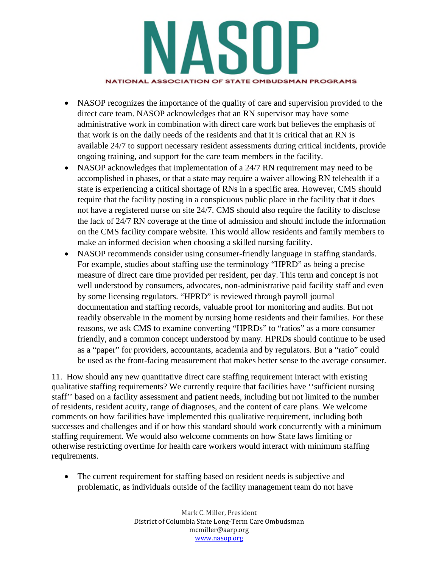

- NASOP recognizes the importance of the quality of care and supervision provided to the direct care team. NASOP acknowledges that an RN supervisor may have some administrative work in combination with direct care work but believes the emphasis of that work is on the daily needs of the residents and that it is critical that an RN is available 24/7 to support necessary resident assessments during critical incidents, provide ongoing training, and support for the care team members in the facility.
- NASOP acknowledges that implementation of a 24/7 RN requirement may need to be accomplished in phases, or that a state may require a waiver allowing RN telehealth if a state is experiencing a critical shortage of RNs in a specific area. However, CMS should require that the facility posting in a conspicuous public place in the facility that it does not have a registered nurse on site 24/7. CMS should also require the facility to disclose the lack of 24/7 RN coverage at the time of admission and should include the information on the CMS facility compare website. This would allow residents and family members to make an informed decision when choosing a skilled nursing facility.
- NASOP recommends consider using consumer-friendly language in staffing standards. For example, studies about staffing use the terminology "HPRD" as being a precise measure of direct care time provided per resident, per day. This term and concept is not well understood by consumers, advocates, non-administrative paid facility staff and even by some licensing regulators. "HPRD" is reviewed through payroll journal documentation and staffing records, valuable proof for monitoring and audits. But not readily observable in the moment by nursing home residents and their families. For these reasons, we ask CMS to examine converting "HPRDs" to "ratios" as a more consumer friendly, and a common concept understood by many. HPRDs should continue to be used as a "paper" for providers, accountants, academia and by regulators. But a "ratio" could be used as the front-facing measurement that makes better sense to the average consumer.

11. How should any new quantitative direct care staffing requirement interact with existing qualitative staffing requirements? We currently require that facilities have ''sufficient nursing staff'' based on a facility assessment and patient needs, including but not limited to the number of residents, resident acuity, range of diagnoses, and the content of care plans. We welcome comments on how facilities have implemented this qualitative requirement, including both successes and challenges and if or how this standard should work concurrently with a minimum staffing requirement. We would also welcome comments on how State laws limiting or otherwise restricting overtime for health care workers would interact with minimum staffing requirements.

• The current requirement for staffing based on resident needs is subjective and problematic, as individuals outside of the facility management team do not have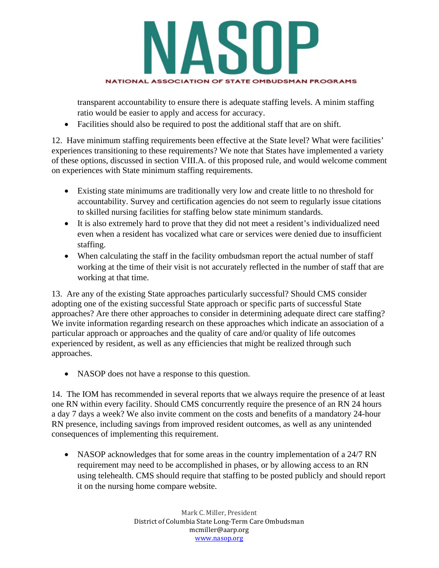

transparent accountability to ensure there is adequate staffing levels. A minim staffing ratio would be easier to apply and access for accuracy.

Facilities should also be required to post the additional staff that are on shift.

12. Have minimum staffing requirements been effective at the State level? What were facilities' experiences transitioning to these requirements? We note that States have implemented a variety of these options, discussed in section VIII.A. of this proposed rule, and would welcome comment on experiences with State minimum staffing requirements.

- Existing state minimums are traditionally very low and create little to no threshold for accountability. Survey and certification agencies do not seem to regularly issue citations to skilled nursing facilities for staffing below state minimum standards.
- It is also extremely hard to prove that they did not meet a resident's individualized need even when a resident has vocalized what care or services were denied due to insufficient staffing.
- When calculating the staff in the facility ombudsman report the actual number of staff working at the time of their visit is not accurately reflected in the number of staff that are working at that time.

13. Are any of the existing State approaches particularly successful? Should CMS consider adopting one of the existing successful State approach or specific parts of successful State approaches? Are there other approaches to consider in determining adequate direct care staffing? We invite information regarding research on these approaches which indicate an association of a particular approach or approaches and the quality of care and/or quality of life outcomes experienced by resident, as well as any efficiencies that might be realized through such approaches.

• NASOP does not have a response to this question.

14. The IOM has recommended in several reports that we always require the presence of at least one RN within every facility. Should CMS concurrently require the presence of an RN 24 hours a day 7 days a week? We also invite comment on the costs and benefits of a mandatory 24-hour RN presence, including savings from improved resident outcomes, as well as any unintended consequences of implementing this requirement.

• NASOP acknowledges that for some areas in the country implementation of a 24/7 RN requirement may need to be accomplished in phases, or by allowing access to an RN using telehealth. CMS should require that staffing to be posted publicly and should report it on the nursing home compare website.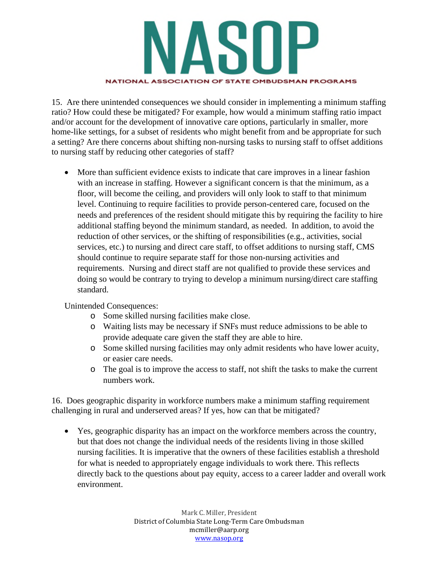

15. Are there unintended consequences we should consider in implementing a minimum staffing ratio? How could these be mitigated? For example, how would a minimum staffing ratio impact and/or account for the development of innovative care options, particularly in smaller, more home-like settings, for a subset of residents who might benefit from and be appropriate for such a setting? Are there concerns about shifting non-nursing tasks to nursing staff to offset additions to nursing staff by reducing other categories of staff?

 More than sufficient evidence exists to indicate that care improves in a linear fashion with an increase in staffing. However a significant concern is that the minimum, as a floor, will become the ceiling, and providers will only look to staff to that minimum level. Continuing to require facilities to provide person-centered care, focused on the needs and preferences of the resident should mitigate this by requiring the facility to hire additional staffing beyond the minimum standard, as needed. In addition, to avoid the reduction of other services, or the shifting of responsibilities (e.g., activities, social services, etc.) to nursing and direct care staff, to offset additions to nursing staff, CMS should continue to require separate staff for those non-nursing activities and requirements. Nursing and direct staff are not qualified to provide these services and doing so would be contrary to trying to develop a minimum nursing/direct care staffing standard.

Unintended Consequences:

- o Some skilled nursing facilities make close.
- o Waiting lists may be necessary if SNFs must reduce admissions to be able to provide adequate care given the staff they are able to hire.
- o Some skilled nursing facilities may only admit residents who have lower acuity, or easier care needs.
- o The goal is to improve the access to staff, not shift the tasks to make the current numbers work.

16. Does geographic disparity in workforce numbers make a minimum staffing requirement challenging in rural and underserved areas? If yes, how can that be mitigated?

 Yes, geographic disparity has an impact on the workforce members across the country, but that does not change the individual needs of the residents living in those skilled nursing facilities. It is imperative that the owners of these facilities establish a threshold for what is needed to appropriately engage individuals to work there. This reflects directly back to the questions about pay equity, access to a career ladder and overall work environment.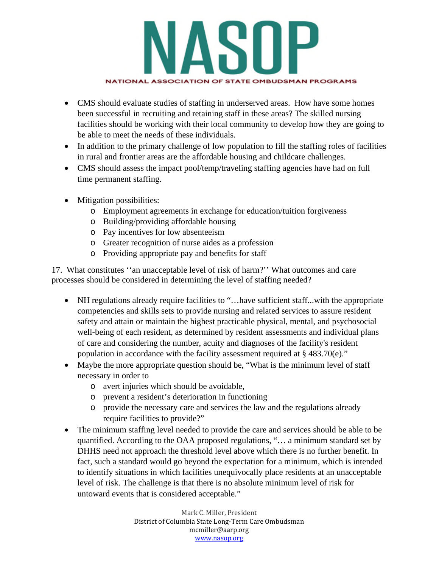

- CMS should evaluate studies of staffing in underserved areas. How have some homes been successful in recruiting and retaining staff in these areas? The skilled nursing facilities should be working with their local community to develop how they are going to be able to meet the needs of these individuals.
- In addition to the primary challenge of low population to fill the staffing roles of facilities in rural and frontier areas are the affordable housing and childcare challenges.
- CMS should assess the impact pool/temp/traveling staffing agencies have had on full time permanent staffing.
- Mitigation possibilities:
	- o Employment agreements in exchange for education/tuition forgiveness
	- o Building/providing affordable housing
	- o Pay incentives for low absenteeism
	- o Greater recognition of nurse aides as a profession
	- o Providing appropriate pay and benefits for staff

17. What constitutes ''an unacceptable level of risk of harm?'' What outcomes and care processes should be considered in determining the level of staffing needed?

- NH regulations already require facilities to "…have sufficient staff...with the appropriate competencies and skills sets to provide nursing and related services to assure resident safety and attain or maintain the highest practicable physical, mental, and psychosocial well-being of each resident, as determined by resident assessments and individual plans of care and considering the number, acuity and diagnoses of the facility's resident population in accordance with the facility assessment required at § 483.70(e)."
- Maybe the more appropriate question should be, "What is the minimum level of staff necessary in order to
	- o avert injuries which should be avoidable,
	- o prevent a resident's deterioration in functioning
	- o provide the necessary care and services the law and the regulations already require facilities to provide?"
- The minimum staffing level needed to provide the care and services should be able to be quantified. According to the OAA proposed regulations, "… a minimum standard set by DHHS need not approach the threshold level above which there is no further benefit. In fact, such a standard would go beyond the expectation for a minimum, which is intended to identify situations in which facilities unequivocally place residents at an unacceptable level of risk. The challenge is that there is no absolute minimum level of risk for untoward events that is considered acceptable."